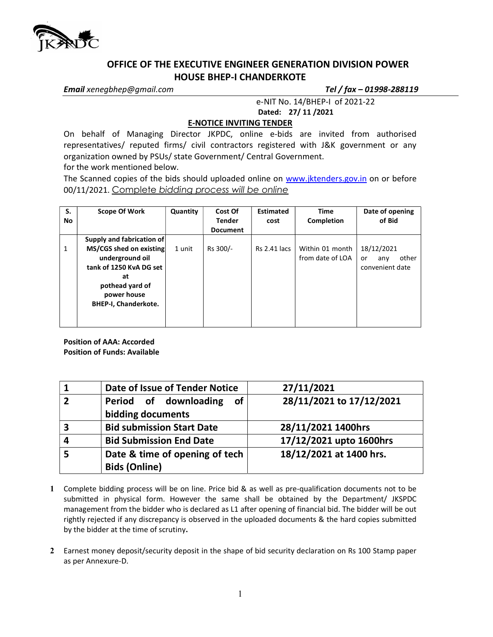

## OFFICE OF THE EXECUTIVE ENGINEER GENERATION DIVISION POWER HOUSE BHEP-I CHANDERKOTE

Email xenegbhep@gmail.com Tel / fax – 01998-288119

 e-NIT No. 14/BHEP-I of 2021-22 Dated: 27/ 11 /2021

## E-NOTICE INVITING TENDER

On behalf of Managing Director JKPDC, online e-bids are invited from authorised representatives/ reputed firms/ civil contractors registered with J&K government or any organization owned by PSUs/ state Government/ Central Government. for the work mentioned below.

The Scanned copies of the bids should uploaded online on www.jktenders.gov.in on or before 00/11/2021. Complete bidding process will be online

| S.<br>No | <b>Scope Of Work</b>                                                                                                                                                      | Quantity | Cost Of<br><b>Tender</b><br><b>Document</b> | <b>Estimated</b><br>cost | <b>Time</b><br>Completion           | Date of opening<br>of Bid                                  |
|----------|---------------------------------------------------------------------------------------------------------------------------------------------------------------------------|----------|---------------------------------------------|--------------------------|-------------------------------------|------------------------------------------------------------|
| 1        | Supply and fabrication of<br>MS/CGS shed on existing<br>underground oil<br>tank of 1250 KvA DG set<br>at<br>pothead yard of<br>power house<br><b>BHEP-I, Chanderkote.</b> | 1 unit   | Rs 300/-                                    | <b>Rs 2.41 lacs</b>      | Within 01 month<br>from date of LOA | 18/12/2021<br>other<br><b>or</b><br>any<br>convenient date |

Position of AAA: Accorded

Position of Funds: Available

| Date of Issue of Tender Notice                   | 27/11/2021               |  |  |
|--------------------------------------------------|--------------------------|--|--|
| Period of downloading<br>of<br>bidding documents | 28/11/2021 to 17/12/2021 |  |  |
| <b>Bid submission Start Date</b>                 | 28/11/2021 1400hrs       |  |  |
| <b>Bid Submission End Date</b>                   | 17/12/2021 upto 1600hrs  |  |  |
| Date & time of opening of tech                   | 18/12/2021 at 1400 hrs.  |  |  |
| <b>Bids (Online)</b>                             |                          |  |  |

- 1 Complete bidding process will be on line. Price bid & as well as pre-qualification documents not to be submitted in physical form. However the same shall be obtained by the Department/ JKSPDC management from the bidder who is declared as L1 after opening of financial bid. The bidder will be out rightly rejected if any discrepancy is observed in the uploaded documents & the hard copies submitted by the bidder at the time of scrutiny.
- 2 Earnest money deposit/security deposit in the shape of bid security declaration on Rs 100 Stamp paper as per Annexure-D.